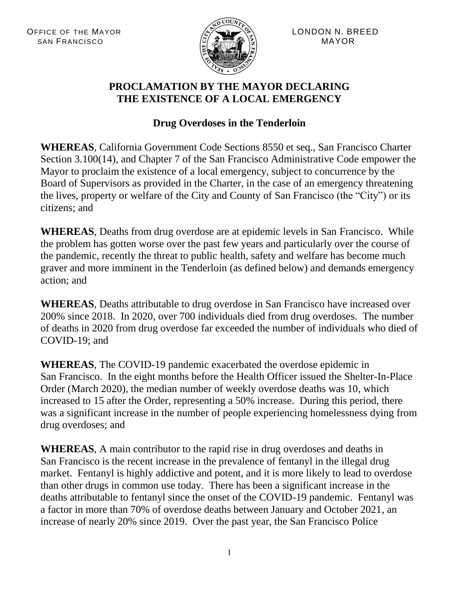

#### **PROCLAMATION BY THE MAYOR DECLARING THE EXISTENCE OF A LOCAL EMERGENCY**

# **Drug Overdoses in the Tenderloin**

**WHEREAS**, California Government Code Sections 8550 et seq., San Francisco Charter Section 3.100(14), and Chapter 7 of the San Francisco Administrative Code empower the Mayor to proclaim the existence of a local emergency, subject to concurrence by the Board of Supervisors as provided in the Charter, in the case of an emergency threatening the lives, property or welfare of the City and County of San Francisco (the "City") or its citizens; and

**WHEREAS**, Deaths from drug overdose are at epidemic levels in San Francisco. While the problem has gotten worse over the past few years and particularly over the course of the pandemic, recently the threat to public health, safety and welfare has become much graver and more imminent in the Tenderloin (as defined below) and demands emergency action; and

**WHEREAS**, Deaths attributable to drug overdose in San Francisco have increased over 200% since 2018. In 2020, over 700 individuals died from drug overdoses. The number of deaths in 2020 from drug overdose far exceeded the number of individuals who died of COVID-19; and

**WHEREAS**, The COVID-19 pandemic exacerbated the overdose epidemic in San Francisco. In the eight months before the Health Officer issued the Shelter-In-Place Order (March 2020), the median number of weekly overdose deaths was 10, which increased to 15 after the Order, representing a 50% increase. During this period, there was a significant increase in the number of people experiencing homelessness dying from drug overdoses; and

**WHEREAS**, A main contributor to the rapid rise in drug overdoses and deaths in San Francisco is the recent increase in the prevalence of fentanyl in the illegal drug market. Fentanyl is highly addictive and potent, and it is more likely to lead to overdose than other drugs in common use today. There has been a significant increase in the deaths attributable to fentanyl since the onset of the COVID-19 pandemic. Fentanyl was a factor in more than 70% of overdose deaths between January and October 2021, an increase of nearly 20% since 2019. Over the past year, the San Francisco Police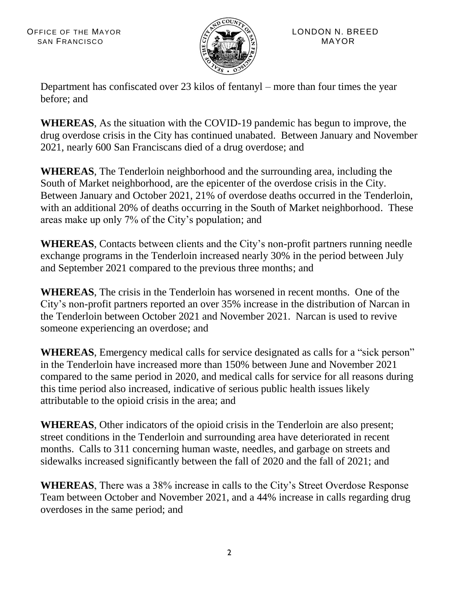

Department has confiscated over 23 kilos of fentanyl – more than four times the year before; and

**WHEREAS**, As the situation with the COVID-19 pandemic has begun to improve, the drug overdose crisis in the City has continued unabated. Between January and November 2021, nearly 600 San Franciscans died of a drug overdose; and

**WHEREAS**, The Tenderloin neighborhood and the surrounding area, including the South of Market neighborhood, are the epicenter of the overdose crisis in the City. Between January and October 2021, 21% of overdose deaths occurred in the Tenderloin, with an additional 20% of deaths occurring in the South of Market neighborhood. These areas make up only 7% of the City's population; and

**WHEREAS**, Contacts between clients and the City's non-profit partners running needle exchange programs in the Tenderloin increased nearly 30% in the period between July and September 2021 compared to the previous three months; and

**WHEREAS**, The crisis in the Tenderloin has worsened in recent months. One of the City's non-profit partners reported an over 35% increase in the distribution of Narcan in the Tenderloin between October 2021 and November 2021. Narcan is used to revive someone experiencing an overdose; and

**WHEREAS**, Emergency medical calls for service designated as calls for a "sick person" in the Tenderloin have increased more than 150% between June and November 2021 compared to the same period in 2020, and medical calls for service for all reasons during this time period also increased, indicative of serious public health issues likely attributable to the opioid crisis in the area; and

**WHEREAS**, Other indicators of the opioid crisis in the Tenderloin are also present; street conditions in the Tenderloin and surrounding area have deteriorated in recent months. Calls to 311 concerning human waste, needles, and garbage on streets and sidewalks increased significantly between the fall of 2020 and the fall of 2021; and

**WHEREAS**, There was a 38% increase in calls to the City's Street Overdose Response Team between October and November 2021, and a 44% increase in calls regarding drug overdoses in the same period; and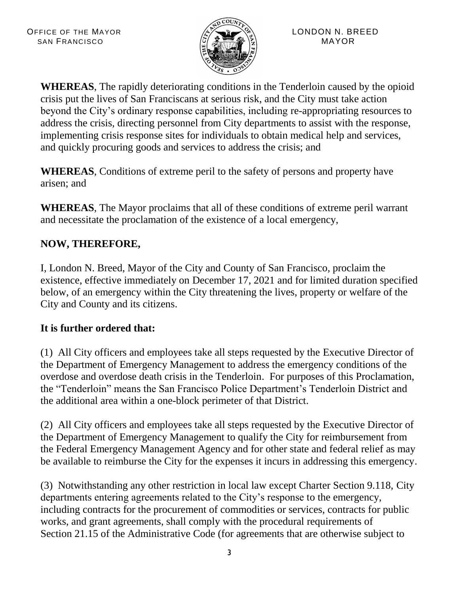

**WHEREAS**, The rapidly deteriorating conditions in the Tenderloin caused by the opioid crisis put the lives of San Franciscans at serious risk, and the City must take action beyond the City's ordinary response capabilities, including re-appropriating resources to address the crisis, directing personnel from City departments to assist with the response, implementing crisis response sites for individuals to obtain medical help and services, and quickly procuring goods and services to address the crisis; and

**WHEREAS**, Conditions of extreme peril to the safety of persons and property have arisen; and

**WHEREAS**, The Mayor proclaims that all of these conditions of extreme peril warrant and necessitate the proclamation of the existence of a local emergency,

# **NOW, THEREFORE,**

I, London N. Breed, Mayor of the City and County of San Francisco, proclaim the existence, effective immediately on December 17, 2021 and for limited duration specified below, of an emergency within the City threatening the lives, property or welfare of the City and County and its citizens.

### **It is further ordered that:**

(1) All City officers and employees take all steps requested by the Executive Director of the Department of Emergency Management to address the emergency conditions of the overdose and overdose death crisis in the Tenderloin. For purposes of this Proclamation, the "Tenderloin" means the San Francisco Police Department's Tenderloin District and the additional area within a one-block perimeter of that District.

(2) All City officers and employees take all steps requested by the Executive Director of the Department of Emergency Management to qualify the City for reimbursement from the Federal Emergency Management Agency and for other state and federal relief as may be available to reimburse the City for the expenses it incurs in addressing this emergency.

(3) Notwithstanding any other restriction in local law except Charter Section 9.118, City departments entering agreements related to the City's response to the emergency, including contracts for the procurement of commodities or services, contracts for public works, and grant agreements, shall comply with the procedural requirements of Section 21.15 of the Administrative Code (for agreements that are otherwise subject to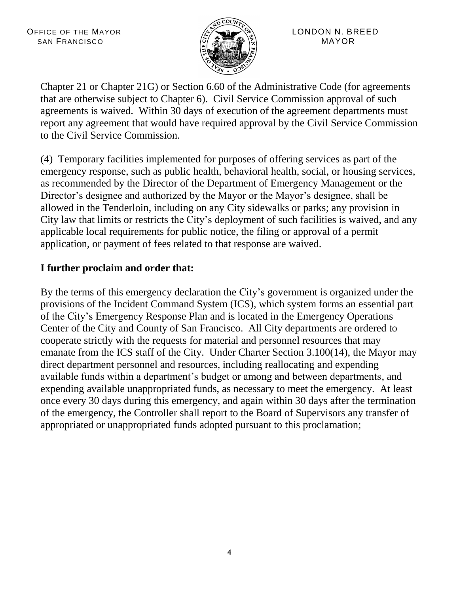

Chapter 21 or Chapter 21G) or Section 6.60 of the Administrative Code (for agreements that are otherwise subject to Chapter 6). Civil Service Commission approval of such agreements is waived. Within 30 days of execution of the agreement departments must report any agreement that would have required approval by the Civil Service Commission to the Civil Service Commission.

(4) Temporary facilities implemented for purposes of offering services as part of the emergency response, such as public health, behavioral health, social, or housing services, as recommended by the Director of the Department of Emergency Management or the Director's designee and authorized by the Mayor or the Mayor's designee, shall be allowed in the Tenderloin, including on any City sidewalks or parks; any provision in City law that limits or restricts the City's deployment of such facilities is waived, and any applicable local requirements for public notice, the filing or approval of a permit application, or payment of fees related to that response are waived.

## **I further proclaim and order that:**

By the terms of this emergency declaration the City's government is organized under the provisions of the Incident Command System (ICS), which system forms an essential part of the City's Emergency Response Plan and is located in the Emergency Operations Center of the City and County of San Francisco. All City departments are ordered to cooperate strictly with the requests for material and personnel resources that may emanate from the ICS staff of the City. Under Charter Section 3.100(14), the Mayor may direct department personnel and resources, including reallocating and expending available funds within a department's budget or among and between departments, and expending available unappropriated funds, as necessary to meet the emergency. At least once every 30 days during this emergency, and again within 30 days after the termination of the emergency, the Controller shall report to the Board of Supervisors any transfer of appropriated or unappropriated funds adopted pursuant to this proclamation;